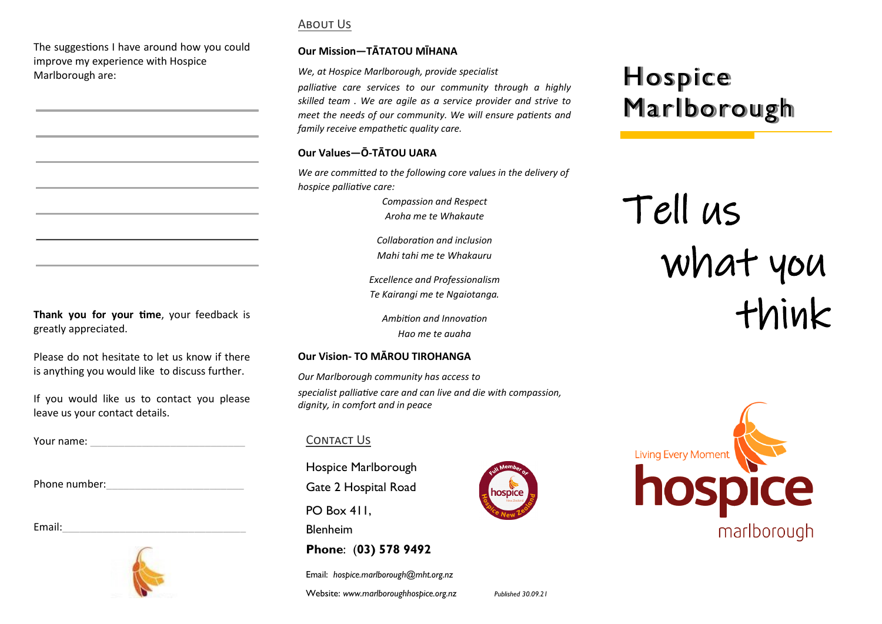The suggestions I have around how you could improve my experience with Hospice Marlborough are:

## About Us

### **Our Mission—TĀTATOU MĪHANA**

*We, at Hospice Marlborough, provide specialist* 

*palliative care services to our community through a highly skilled team . We are agile as a service provider and strive to meet the needs of our community. We will ensure patients and family receive empathetic quality care.*

## **Our Values—Ō-TĀTOU UARA**

*We are committed to the following core values in the delivery of hospice palliative care:*

> *Compassion and Respect Aroha me te Whakaute*

*Collaboration and inclusion Mahi tahi me te Whakauru* 

*Excellence and Professionalism Te Kairangi me te Ngaiotanga.*

*Ambition and Innovation Hao me te auaha*

## **Our Vision- TO MĀROU TIROHANGA**

*Our Marlborough community has access to specialist palliative care and can live and die with compassion, dignity, in comfort and in peace*

## CONTACT US

Hospice Marlborough Gate 2 Hospital Road

PO Box 411.

Blenheim

**Phone**: (**03) 578 9492**

Email: *hospice.marlborough@mht.org.nz*

Website: www.marlboroughhospice.org.nz Published 30.09.21

## $\mathbf{H} = \mathbf{H}$ Hospice<br>Marco Hospice Marlborough

Tell us what you think



**Thank you for your time**, your feedback is greatly appreciated.

Please do not hesitate to let us know if there is anything you would like to discuss further.

If you would like us to contact you please leave us your contact details.

Your name: \_\_\_\_\_\_\_\_\_\_\_\_\_\_\_\_\_\_\_\_\_\_\_\_\_\_\_

Phone number:

Email:



hospice